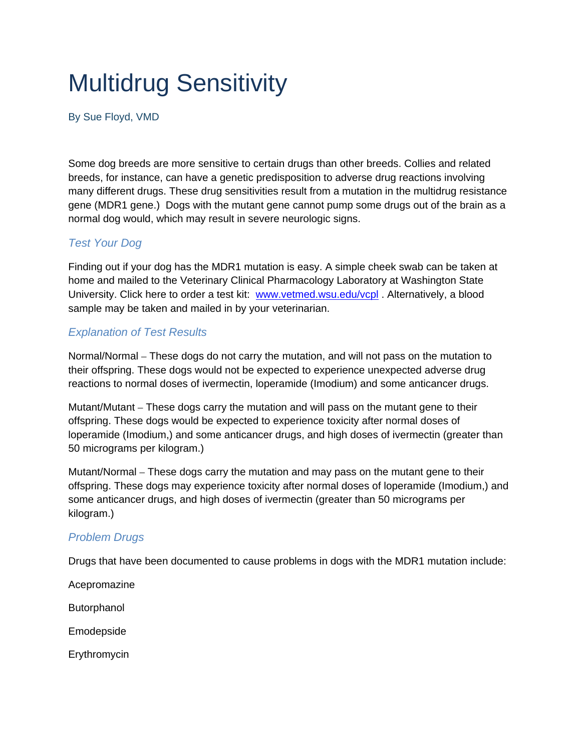## Multidrug Sensitivity

By Sue Floyd, VMD

Some dog breeds are more sensitive to certain drugs than other breeds. Collies and related breeds, for instance, can have a genetic predisposition to adverse drug reactions involving many different drugs. These drug sensitivities result from a mutation in the multidrug resistance gene (MDR1 gene.) Dogs with the mutant gene cannot pump some drugs out of the brain as a normal dog would, which may result in severe neurologic signs.

## *Test Your Dog*

Finding out if your dog has the MDR1 mutation is easy. A simple cheek swab can be taken at home and mailed to the Veterinary Clinical Pharmacology Laboratory at Washington State University. Click here to order a test kit: www.vetmed.wsu.edu/vcpl . Alternatively, a blood sample may be taken and mailed in by your veterinarian.

## *Explanation of Test Results*

Normal/Normal – These dogs do not carry the mutation, and will not pass on the mutation to their offspring. These dogs would not be expected to experience unexpected adverse drug reactions to normal doses of ivermectin, loperamide (Imodium) and some anticancer drugs.

Mutant/Mutant – These dogs carry the mutation and will pass on the mutant gene to their offspring. These dogs would be expected to experience toxicity after normal doses of loperamide (Imodium,) and some anticancer drugs, and high doses of ivermectin (greater than 50 micrograms per kilogram.)

Mutant/Normal – These dogs carry the mutation and may pass on the mutant gene to their offspring. These dogs may experience toxicity after normal doses of loperamide (Imodium,) and some anticancer drugs, and high doses of ivermectin (greater than 50 micrograms per kilogram.)

## *Problem Drugs*

Drugs that have been documented to cause problems in dogs with the MDR1 mutation include:

Acepromazine

Butorphanol

Emodepside

Erythromycin